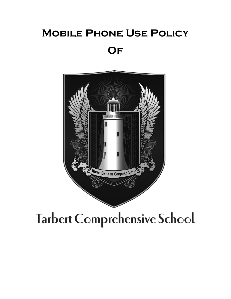## **Mobile Phone Use Policy Of**



## Tarbert Comprehensive School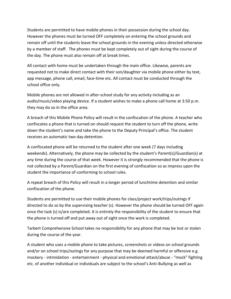Students are permitted to have mobile phones in their possession during the school day. However the phones must be turned OFF completely on entering the school grounds and remain off until the students leave the school grounds in the evening unless directed otherwise by a member of staff. The phones must be kept completely out of sight during the course of the day. The phone must also remain off at break times.

All contact with home must be undertaken through the main office. Likewise, parents are requested not to make direct contact with their son/daughter via mobile phone either by text, app message, phone call, email, face-time etc. All contact must be conducted through the school office only.

Mobile phones are not allowed in after-school study for any activity including as an audio/music/video playing device. If a student wishes to make a phone call home at 3:50 p.m. they may do so in the office area.

A breach of this Mobile Phone Policy will result in the confiscation of the phone. A teacher who confiscates a phone that is turned on should request the student to turn off the phone, write down the student's name and take the phone to the Deputy Principal's office. The student receives an automatic two day detention.

A confiscated phone will be returned to the student after one week (7 days including weekends). Alternatively, the phone may be collected by the student's Parent(s)/Guardian(s) at any time during the course of that week. However it is strongly recommended that the phone is not collected by a Parent/Guardian on the first evening of confiscation so as impress upon the student the importance of conforming to school rules.

A repeat breach of this Policy will result in a longer period of lunchtime detention and similar confiscation of the phone.

Students are permitted to use their mobile phones for class/project work/trips/outings if directed to do so by the supervising teacher (s). However the phone should be turned OFF again once the task (s) is/are completed. It is entirely the responsibility of the student to ensure that the phone is turned off and put away out of sight once the work is completed.

Tarbert Comprehensive School takes no responsibility for any phone that may be lost or stolen during the course of the year.

A student who uses a mobile phone to take pictures, screenshots or videos on school grounds and/or on school trips/outings for any purpose that may be deemed harmful or offensive e.g. mockery - intimidation - entertainment - physical and emotional attack/abuse - "mock" fighting etc. of another individual or individuals are subject to the school's Anti-Bullying as well as